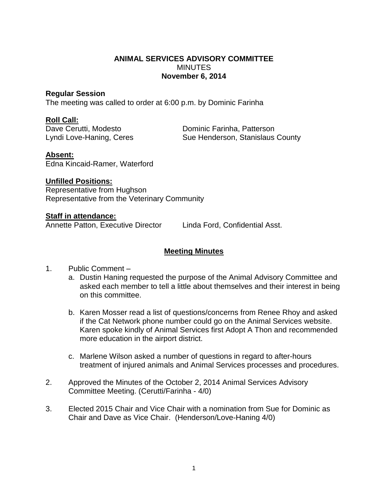## **ANIMAL SERVICES ADVISORY COMMITTEE MINUTES November 6, 2014**

## **Regular Session**

The meeting was called to order at 6:00 p.m. by Dominic Farinha

## **Roll Call:**

Dave Cerutti, Modesto **Dominic Farinha, Patterson** Lyndi Love-Haning, Ceres Sue Henderson, Stanislaus County

# **Absent:**

Edna Kincaid-Ramer, Waterford

# **Unfilled Positions:**

Representative from Hughson Representative from the Veterinary Community

# **Staff in attendance:**

Annette Patton, Executive Director Linda Ford, Confidential Asst.

# **Meeting Minutes**

- 1. Public Comment
	- a. Dustin Haning requested the purpose of the Animal Advisory Committee and asked each member to tell a little about themselves and their interest in being on this committee.
	- b. Karen Mosser read a list of questions/concerns from Renee Rhoy and asked if the Cat Network phone number could go on the Animal Services website. Karen spoke kindly of Animal Services first Adopt A Thon and recommended more education in the airport district.
	- c. Marlene Wilson asked a number of questions in regard to after-hours treatment of injured animals and Animal Services processes and procedures.
- 2. Approved the Minutes of the October 2, 2014 Animal Services Advisory Committee Meeting. (Cerutti/Farinha - 4/0)
- 3. Elected 2015 Chair and Vice Chair with a nomination from Sue for Dominic as Chair and Dave as Vice Chair. (Henderson/Love-Haning 4/0)